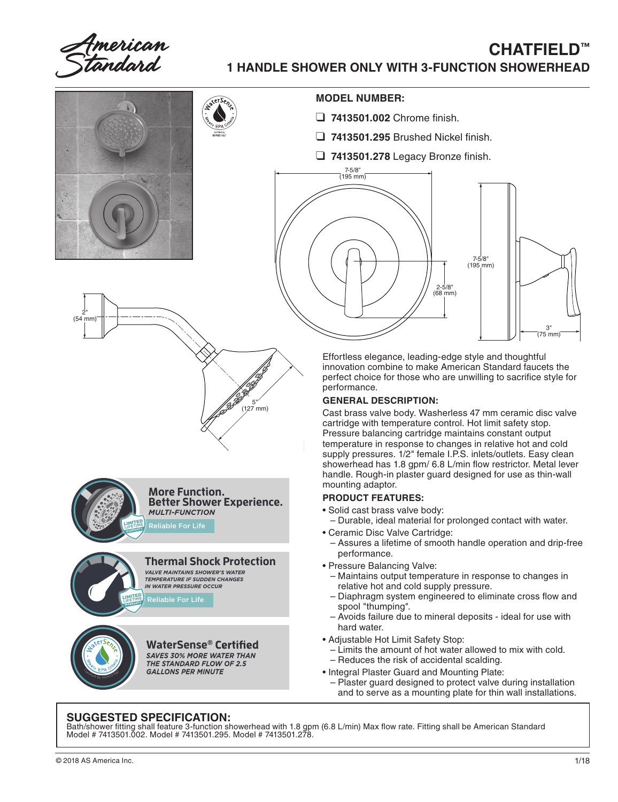Imerican  $\epsilon$ tandard

## **CHATFIELD**™ **1 HANDLE SHOWER ONLY WITH 3-FUNCTION SHOWERHEAD**



## **SUGGESTED SPECIFICATION:**

Bath/shower fitting shall feature 3-function showerhead with 1.8 gpm (6.8 L/min) Max flow rate. Fitting shall be American Standard Model # 7413501.002. Model # 7413501.295. Model # 7413501.278.